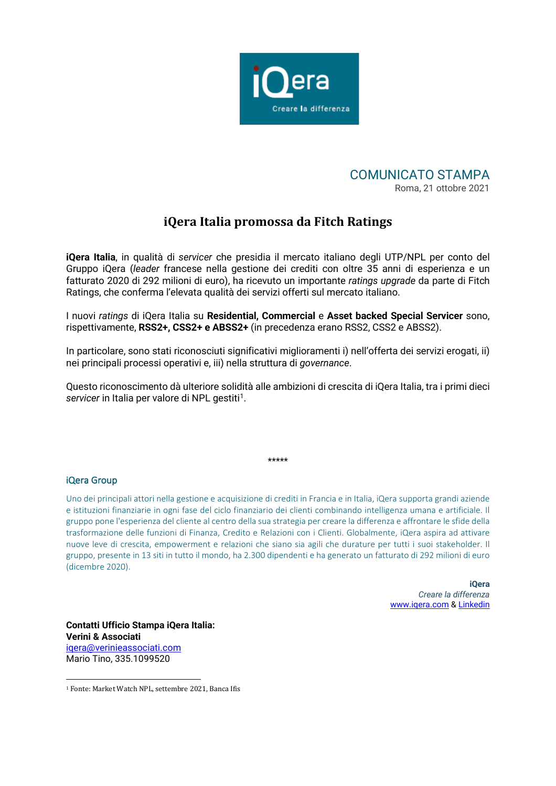

## COMUNICATO STAMPA Roma, 21 ottobre 2021

# **iQera Italia promossa da Fitch Ratings**

**iQera Italia**, in qualità di *servicer* che presidia il mercato italiano degli UTP/NPL per conto del Gruppo iQera (*leader* francese nella gestione dei crediti con oltre 35 anni di esperienza e un fatturato 2020 di 292 milioni di euro), ha ricevuto un importante *ratings upgrade* da parte di Fitch Ratings, che conferma l'elevata qualità dei servizi offerti sul mercato italiano.

I nuovi *ratings* di iQera Italia su **Residential, Commercial** e **Asset backed Special Servicer** sono, rispettivamente, **RSS2+, CSS2+ e ABSS2+** (in precedenza erano RSS2, CSS2 e ABSS2).

In particolare, sono stati riconosciuti significativi miglioramenti i) nell'offerta dei servizi erogati, ii) nei principali processi operativi e, iii) nella struttura di *governance*.

Questo riconoscimento dà ulteriore solidità alle ambizioni di crescita di iQera Italia, tra i primi dieci servicer in Italia per valore di NPL gestiti<sup>1</sup>.

\*\*\*\*\*

### iQera Group

Uno dei principali attori nella gestione e acquisizione di crediti in Francia e in Italia, iQera supporta grandi aziende e istituzioni finanziarie in ogni fase del ciclo finanziario dei clienti combinando intelligenza umana e artificiale. Il gruppo pone l'esperienza del cliente al centro della sua strategia per creare la differenza e affrontare le sfide della trasformazione delle funzioni di Finanza, Credito e Relazioni con i Clienti. Globalmente, iQera aspira ad attivare nuove leve di crescita, empowerment e relazioni che siano sia agili che durature per tutti i suoi stakeholder. Il gruppo, presente in 13 siti in tutto il mondo, ha 2.300 dipendenti e ha generato un fatturato di 292 milioni di euro (dicembre 2020).

> **iQera** *Creare la differenza* [www.iqera.com](http://www.iqera.com/) [& Linkedin](https://www.linkedin.com/company/iqera-group)

**Contatti Ufficio Stampa iQera Italia: Verini & Associati**  [iqera@verinieassociati.com](mailto:iqera@verinieassociati.com) Mario Tino, 335.1099520

<span id="page-0-0"></span><sup>1</sup> Fonte: Market Watch NPL, settembre 2021, Banca Ifis